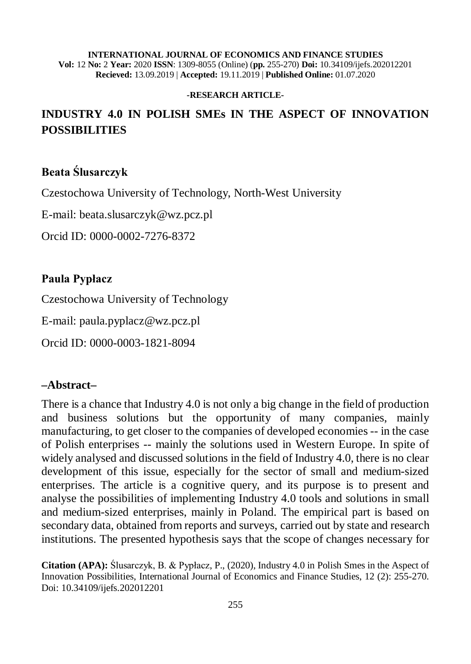#### **INTERNATIONAL JOURNAL OF ECONOMICS AND FINANCE STUDIES Vol:** 12 **No:** 2 **Year:** 2020 **ISSN**: 1309-8055 (Online) (**pp.** 255-270) **Doi:** 10.34109/ijefs.202012201 **Recieved:** 13.09.2019 | **Accepted:** 19.11.2019 | **Published Online:** 01.07.2020

#### **-RESEARCH ARTICLE-**

# **INDUSTRY 4.0 IN POLISH SMEs IN THE ASPECT OF INNOVATION POSSIBILITIES**

## **Beata Ślusarczyk**

Czestochowa University of Technology, North-West University

E-mail: [beata.slusarczyk@wz.pcz.pl](mailto:beata.slusarczyk@wz.pcz.pl)

Orcid ID: 0000-0002-7276-8372

### **Paula Pypłacz**

Czestochowa University of Technology

E-mail: [paula.pyplacz@wz.pcz.pl](mailto:paula.pyplacz@wz.pcz.pl)

Orcid ID: 0000-0003-1821-8094

### **–Abstract–**

There is a chance that Industry 4.0 is not only a big change in the field of production and business solutions but the opportunity of many companies, mainly manufacturing, to get closer to the companies of developed economies -- in the case of Polish enterprises -- mainly the solutions used in Western Europe. In spite of widely analysed and discussed solutions in the field of Industry 4.0, there is no clear development of this issue, especially for the sector of small and medium-sized enterprises. The article is a cognitive query, and its purpose is to present and analyse the possibilities of implementing Industry 4.0 tools and solutions in small and medium-sized enterprises, mainly in Poland. The empirical part is based on secondary data, obtained from reports and surveys, carried out by state and research institutions. The presented hypothesis says that the scope of changes necessary for

**Citation (APA):** Ślusarczyk, B. & Pypłacz, P., (2020), Industry 4.0 in Polish Smes in the Aspect of Innovation Possibilities, International Journal of Economics and Finance Studies, 12 (2): 255-270. Doi: 10.34109/ijefs.202012201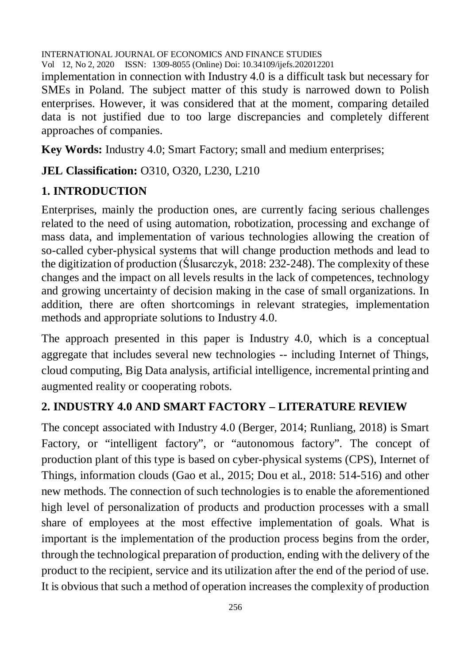implementation in connection with Industry 4.0 is a difficult task but necessary for SMEs in Poland. The subject matter of this study is narrowed down to Polish enterprises. However, it was considered that at the moment, comparing detailed data is not justified due to too large discrepancies and completely different approaches of companies.

**Key Words:** Industry 4.0; Smart Factory; small and medium enterprises;

**JEL Classification: O310, O320, L230, L210** 

# **1. INTRODUCTION**

Enterprises, mainly the production ones, are currently facing serious challenges related to the need of using automation, robotization, processing and exchange of mass data, and implementation of various technologies allowing the creation of so-called cyber-physical systems that will change production methods and lead to the digitization of production (Ślusarczyk, 2018: 232-248). The complexity of these changes and the impact on all levels results in the lack of competences, technology and growing uncertainty of decision making in the case of small organizations. In addition, there are often shortcomings in relevant strategies, implementation methods and appropriate solutions to Industry 4.0.

The approach presented in this paper is Industry 4.0, which is a conceptual aggregate that includes several new technologies -- including Internet of Things, cloud computing, Big Data analysis, artificial intelligence, incremental printing and augmented reality or cooperating robots.

# **2. INDUSTRY 4.0 AND SMART FACTORY – LITERATURE REVIEW**

The concept associated with Industry 4.0 (Berger, 2014; Runliang, 2018) is Smart Factory, or "intelligent factory", or "autonomous factory". The concept of production plant of this type is based on cyber-physical systems (CPS), Internet of Things, information clouds (Gao et al., 2015; Dou et al., 2018: 514-516) and other new methods. The connection of such technologies is to enable the aforementioned high level of personalization of products and production processes with a small share of employees at the most effective implementation of goals. What is important is the implementation of the production process begins from the order, through the technological preparation of production, ending with the delivery of the product to the recipient, service and its utilization after the end of the period of use. It is obvious that such a method of operation increases the complexity of production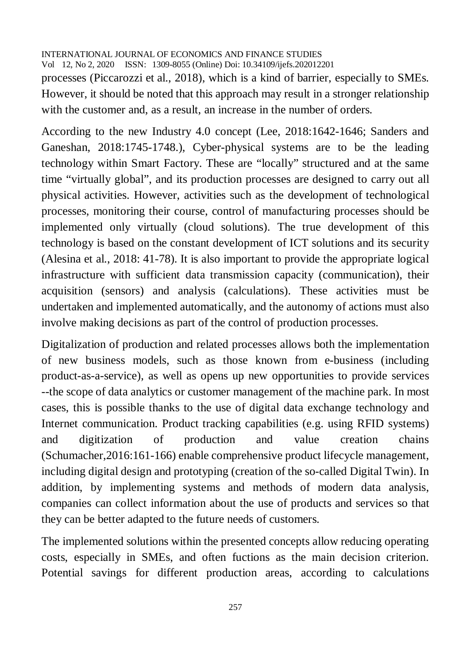processes (Piccarozzi et al., 2018), which is a kind of barrier, especially to SMEs. However, it should be noted that this approach may result in a stronger relationship with the customer and, as a result, an increase in the number of orders.

According to the new Industry 4.0 concept (Lee, 2018:1642-1646; Sanders and Ganeshan, 2018:1745-1748.), Cyber-physical systems are to be the leading technology within Smart Factory. These are "locally" structured and at the same time "virtually global", and its production processes are designed to carry out all physical activities. However, activities such as the development of technological processes, monitoring their course, control of manufacturing processes should be implemented only virtually (cloud solutions). The true development of this technology is based on the constant development of ICT solutions and its security (Alesina et al., 2018: 41-78). It is also important to provide the appropriate logical infrastructure with sufficient data transmission capacity (communication), their acquisition (sensors) and analysis (calculations). These activities must be undertaken and implemented automatically, and the autonomy of actions must also involve making decisions as part of the control of production processes.

Digitalization of production and related processes allows both the implementation of new business models, such as those known from e-business (including product-as-a-service), as well as opens up new opportunities to provide services --the scope of data analytics or customer management of the machine park. In most cases, this is possible thanks to the use of digital data exchange technology and Internet communication. Product tracking capabilities (e.g. using RFID systems) and digitization of production and value creation chains (Schumacher,2016:161-166) enable comprehensive product lifecycle management, including digital design and prototyping (creation of the so-called Digital Twin). In addition, by implementing systems and methods of modern data analysis, companies can collect information about the use of products and services so that they can be better adapted to the future needs of customers.

The implemented solutions within the presented concepts allow reducing operating costs, especially in SMEs, and often fuctions as the main decision criterion. Potential savings for different production areas, according to calculations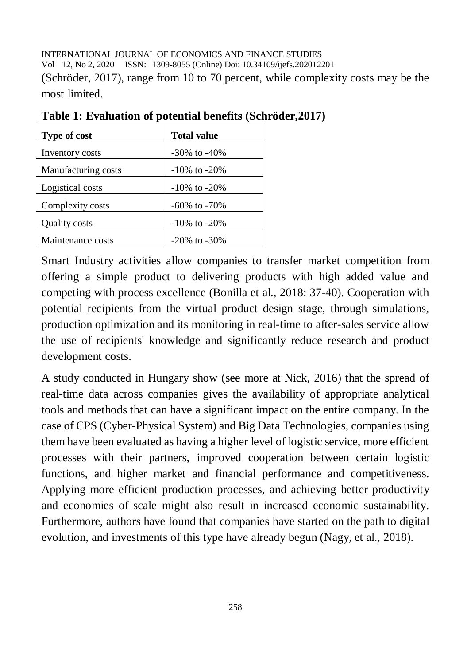INTERNATIONAL JOURNAL OF ECONOMICS AND FINANCE STUDIES Vol 12, No 2, 2020 ISSN: 1309-8055 (Online) Doi: 10.34109/ijefs.202012201 (Schröder, 2017), range from 10 to 70 percent, while complexity costs may be the most limited.

| Type of cost        | <b>Total value</b> |
|---------------------|--------------------|
| Inventory costs     | $-30\%$ to $-40\%$ |
| Manufacturing costs | $-10\%$ to $-20\%$ |
| Logistical costs    | $-10\%$ to $-20\%$ |
| Complexity costs    | $-60\%$ to $-70\%$ |
| Quality costs       | $-10\%$ to $-20\%$ |
| Maintenance costs   | $-20\%$ to $-30\%$ |

**Table 1: Evaluation of potential benefits (Schröder,2017)**

Smart Industry activities allow companies to transfer market competition from offering a simple product to delivering products with high added value and competing with process excellence (Bonilla et al., 2018: 37-40). Cooperation with potential recipients from the virtual product design stage, through simulations, production optimization and its monitoring in real-time to after-sales service allow the use of recipients' knowledge and significantly reduce research and product development costs.

A study conducted in Hungary show (see more at Nick, 2016) that the spread of real-time data across companies gives the availability of appropriate analytical tools and methods that can have a significant impact on the entire company. In the case of CPS (Cyber-Physical System) and Big Data Technologies, companies using them have been evaluated as having a higher level of logistic service, more efficient processes with their partners, improved cooperation between certain logistic functions, and higher market and financial performance and competitiveness. Applying more efficient production processes, and achieving better productivity and economies of scale might also result in increased economic sustainability. Furthermore, authors have found that companies have started on the path to digital evolution, and investments of this type have already begun (Nagy, et al., 2018).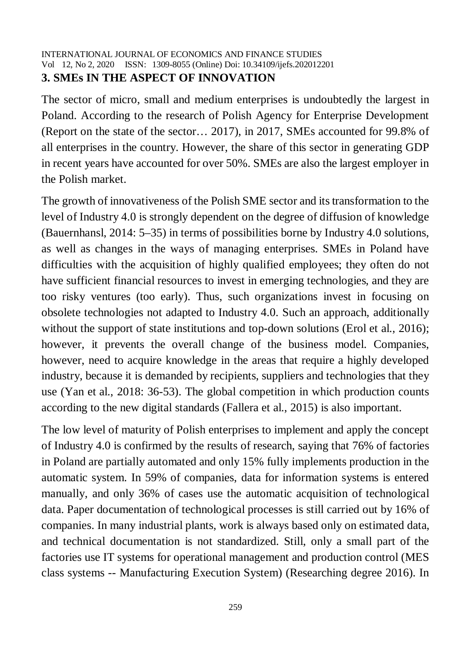### INTERNATIONAL JOURNAL OF ECONOMICS AND FINANCE STUDIES Vol 12, No 2, 2020 ISSN: 1309-8055 (Online) Doi: 10.34109/ijefs.202012201 **3. SMEs IN THE ASPECT OF INNOVATION**

The sector of micro, small and medium enterprises is undoubtedly the largest in Poland. According to the research of Polish Agency for Enterprise Development (Report on the state of the sector… 2017), in 2017, SMEs accounted for 99.8% of all enterprises in the country. However, the share of this sector in generating GDP in recent years have accounted for over 50%. SMEs are also the largest employer in the Polish market.

The growth of innovativeness of the Polish SME sector and its transformation to the level of Industry 4.0 is strongly dependent on the degree of diffusion of knowledge (Bauernhansl, 2014: 5–35) in terms of possibilities borne by Industry 4.0 solutions, as well as changes in the ways of managing enterprises. SMEs in Poland have difficulties with the acquisition of highly qualified employees; they often do not have sufficient financial resources to invest in emerging technologies, and they are too risky ventures (too early). Thus, such organizations invest in focusing on obsolete technologies not adapted to Industry 4.0. Such an approach, additionally without the support of state institutions and top-down solutions (Erol et al., 2016); however, it prevents the overall change of the business model. Companies, however, need to acquire knowledge in the areas that require a highly developed industry, because it is demanded by recipients, suppliers and technologies that they use (Yan et al., 2018: 36-53). The global competition in which production counts according to the new digital standards (Fallera et al., 2015) is also important.

The low level of maturity of Polish enterprises to implement and apply the concept of Industry 4.0 is confirmed by the results of research, saying that 76% of factories in Poland are partially automated and only 15% fully implements production in the automatic system. In 59% of companies, data for information systems is entered manually, and only 36% of cases use the automatic acquisition of technological data. Paper documentation of technological processes is still carried out by 16% of companies. In many industrial plants, work is always based only on estimated data, and technical documentation is not standardized. Still, only a small part of the factories use IT systems for operational management and production control (MES class systems -- Manufacturing Execution System) (Researching degree 2016). In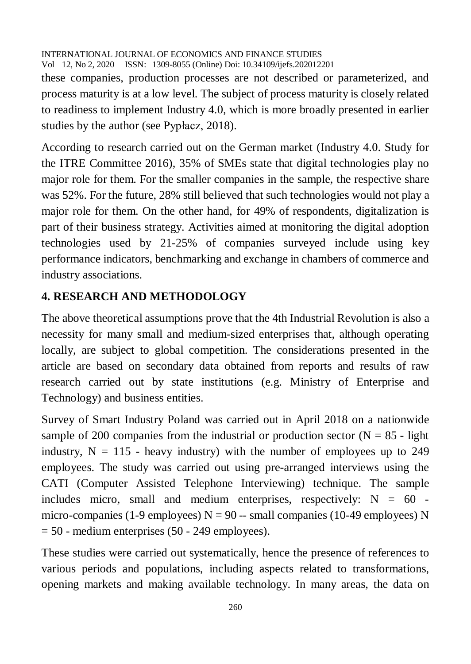these companies, production processes are not described or parameterized, and process maturity is at a low level. The subject of process maturity is closely related to readiness to implement Industry 4.0, which is more broadly presented in earlier studies by the author (see Pypłacz, 2018).

According to research carried out on the German market (Industry 4.0. Study for the ITRE Committee 2016), 35% of SMEs state that digital technologies play no major role for them. For the smaller companies in the sample, the respective share was 52%. For the future, 28% still believed that such technologies would not play a major role for them. On the other hand, for 49% of respondents, digitalization is part of their business strategy. Activities aimed at monitoring the digital adoption technologies used by 21-25% of companies surveyed include using key performance indicators, benchmarking and exchange in chambers of commerce and industry associations.

## **4. RESEARCH AND METHODOLOGY**

The above theoretical assumptions prove that the 4th Industrial Revolution is also a necessity for many small and medium-sized enterprises that, although operating locally, are subject to global competition. The considerations presented in the article are based on secondary data obtained from reports and results of raw research carried out by state institutions (e.g. Ministry of Enterprise and Technology) and business entities.

Survey of Smart Industry Poland was carried out in April 2018 on a nationwide sample of 200 companies from the industrial or production sector ( $N = 85$  - light industry,  $N = 115$  - heavy industry) with the number of employees up to 249 employees. The study was carried out using pre-arranged interviews using the CATI (Computer Assisted Telephone Interviewing) technique. The sample includes micro, small and medium enterprises, respectively:  $N = 60$  micro-companies (1-9 employees)  $N = 90$  -- small companies (10-49 employees) N  $= 50$  - medium enterprises (50 - 249 employees).

These studies were carried out systematically, hence the presence of references to various periods and populations, including aspects related to transformations, opening markets and making available technology. In many areas, the data on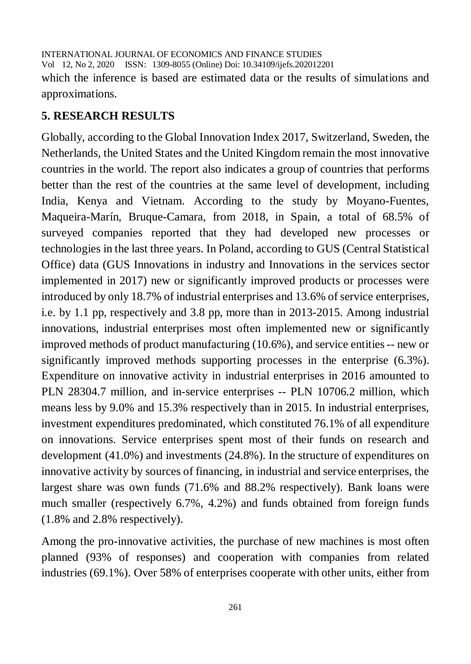INTERNATIONAL JOURNAL OF ECONOMICS AND FINANCE STUDIES Vol 12, No 2, 2020 ISSN: 1309-8055 (Online) Doi: 10.34109/ijefs.202012201 which the inference is based are estimated data or the results of simulations and approximations.

### **5. RESEARCH RESULTS**

Globally, according to the Global Innovation Index 2017, Switzerland, Sweden, the Netherlands, the United States and the United Kingdom remain the most innovative countries in the world. The report also indicates a group of countries that performs better than the rest of the countries at the same level of development, including India, Kenya and Vietnam. According to the study by Moyano-Fuentes, Maqueira-Marín, Bruque-Camara, from 2018, in Spain, a total of 68.5% of surveyed companies reported that they had developed new processes or technologies in the last three years. In Poland, according to GUS (Central Statistical Office) data (GUS Innovations in industry and Innovations in the services sector implemented in 2017) new or significantly improved products or processes were introduced by only 18.7% of industrial enterprises and 13.6% of service enterprises, i.e. by 1.1 pp, respectively and 3.8 pp, more than in 2013-2015. Among industrial innovations, industrial enterprises most often implemented new or significantly improved methods of product manufacturing (10.6%), and service entities -- new or significantly improved methods supporting processes in the enterprise (6.3%). Expenditure on innovative activity in industrial enterprises in 2016 amounted to PLN 28304.7 million, and in-service enterprises -- PLN 10706.2 million, which means less by 9.0% and 15.3% respectively than in 2015. In industrial enterprises, investment expenditures predominated, which constituted 76.1% of all expenditure on innovations. Service enterprises spent most of their funds on research and development (41.0%) and investments (24.8%). In the structure of expenditures on innovative activity by sources of financing, in industrial and service enterprises, the largest share was own funds (71.6% and 88.2% respectively). Bank loans were much smaller (respectively 6.7%, 4.2%) and funds obtained from foreign funds (1.8% and 2.8% respectively).

Among the pro-innovative activities, the purchase of new machines is most often planned (93% of responses) and cooperation with companies from related industries (69.1%). Over 58% of enterprises cooperate with other units, either from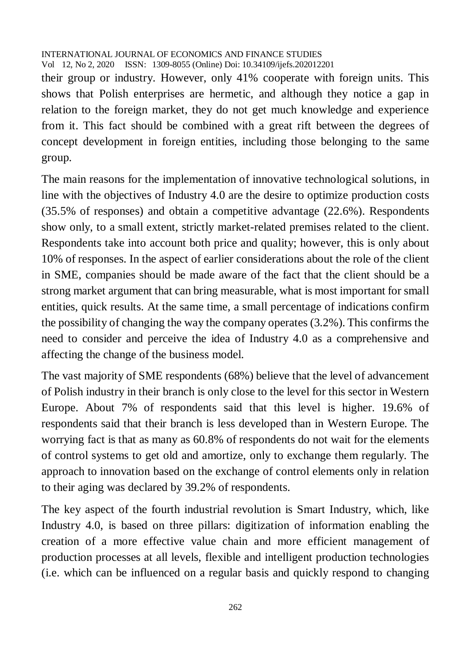their group or industry. However, only 41% cooperate with foreign units. This shows that Polish enterprises are hermetic, and although they notice a gap in relation to the foreign market, they do not get much knowledge and experience from it. This fact should be combined with a great rift between the degrees of concept development in foreign entities, including those belonging to the same group.

The main reasons for the implementation of innovative technological solutions, in line with the objectives of Industry 4.0 are the desire to optimize production costs (35.5% of responses) and obtain a competitive advantage (22.6%). Respondents show only, to a small extent, strictly market-related premises related to the client. Respondents take into account both price and quality; however, this is only about 10% of responses. In the aspect of earlier considerations about the role of the client in SME, companies should be made aware of the fact that the client should be a strong market argument that can bring measurable, what is most important for small entities, quick results. At the same time, a small percentage of indications confirm the possibility of changing the way the company operates (3.2%). This confirms the need to consider and perceive the idea of Industry 4.0 as a comprehensive and affecting the change of the business model.

The vast majority of SME respondents (68%) believe that the level of advancement of Polish industry in their branch is only close to the level for this sector in Western Europe. About 7% of respondents said that this level is higher. 19.6% of respondents said that their branch is less developed than in Western Europe. The worrying fact is that as many as 60.8% of respondents do not wait for the elements of control systems to get old and amortize, only to exchange them regularly. The approach to innovation based on the exchange of control elements only in relation to their aging was declared by 39.2% of respondents.

The key aspect of the fourth industrial revolution is Smart Industry, which, like Industry 4.0, is based on three pillars: digitization of information enabling the creation of a more effective value chain and more efficient management of production processes at all levels, flexible and intelligent production technologies (i.e. which can be influenced on a regular basis and quickly respond to changing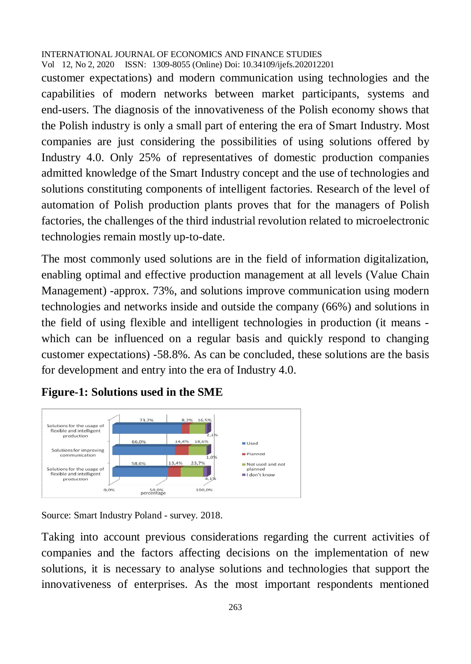customer expectations) and modern communication using technologies and the capabilities of modern networks between market participants, systems and end-users. The diagnosis of the innovativeness of the Polish economy shows that the Polish industry is only a small part of entering the era of Smart Industry. Most companies are just considering the possibilities of using solutions offered by Industry 4.0. Only 25% of representatives of domestic production companies admitted knowledge of the Smart Industry concept and the use of technologies and solutions constituting components of intelligent factories. Research of the level of automation of Polish production plants proves that for the managers of Polish factories, the challenges of the third industrial revolution related to microelectronic technologies remain mostly up-to-date.

The most commonly used solutions are in the field of information digitalization, enabling optimal and effective production management at all levels (Value Chain Management) -approx. 73%, and solutions improve communication using modern technologies and networks inside and outside the company (66%) and solutions in the field of using flexible and intelligent technologies in production (it means which can be influenced on a regular basis and quickly respond to changing customer expectations) -58.8%. As can be concluded, these solutions are the basis for development and entry into the era of Industry 4.0.

## **Figure-1: Solutions used in the SME**



Source: Smart Industry Poland - survey. 2018.

Taking into account previous considerations regarding the current activities of companies and the factors affecting decisions on the implementation of new solutions, it is necessary to analyse solutions and technologies that support the innovativeness of enterprises. As the most important respondents mentioned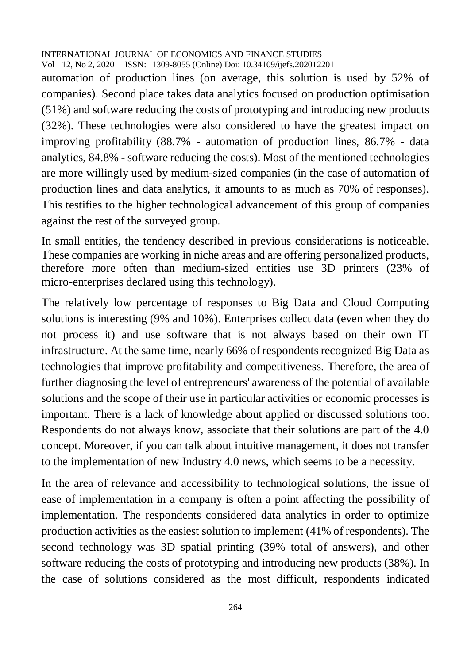automation of production lines (on average, this solution is used by 52% of companies). Second place takes data analytics focused on production optimisation (51%) and software reducing the costs of prototyping and introducing new products (32%). These technologies were also considered to have the greatest impact on improving profitability (88.7% - automation of production lines, 86.7% - data analytics, 84.8% - software reducing the costs). Most of the mentioned technologies are more willingly used by medium-sized companies (in the case of automation of production lines and data analytics, it amounts to as much as 70% of responses). This testifies to the higher technological advancement of this group of companies against the rest of the surveyed group.

In small entities, the tendency described in previous considerations is noticeable. These companies are working in niche areas and are offering personalized products, therefore more often than medium-sized entities use 3D printers (23% of micro-enterprises declared using this technology).

The relatively low percentage of responses to Big Data and Cloud Computing solutions is interesting (9% and 10%). Enterprises collect data (even when they do not process it) and use software that is not always based on their own IT infrastructure. At the same time, nearly 66% of respondents recognized Big Data as technologies that improve profitability and competitiveness. Therefore, the area of further diagnosing the level of entrepreneurs' awareness of the potential of available solutions and the scope of their use in particular activities or economic processes is important. There is a lack of knowledge about applied or discussed solutions too. Respondents do not always know, associate that their solutions are part of the 4.0 concept. Moreover, if you can talk about intuitive management, it does not transfer to the implementation of new Industry 4.0 news, which seems to be a necessity.

In the area of relevance and accessibility to technological solutions, the issue of ease of implementation in a company is often a point affecting the possibility of implementation. The respondents considered data analytics in order to optimize production activities as the easiest solution to implement (41% of respondents). The second technology was 3D spatial printing (39% total of answers), and other software reducing the costs of prototyping and introducing new products (38%). In the case of solutions considered as the most difficult, respondents indicated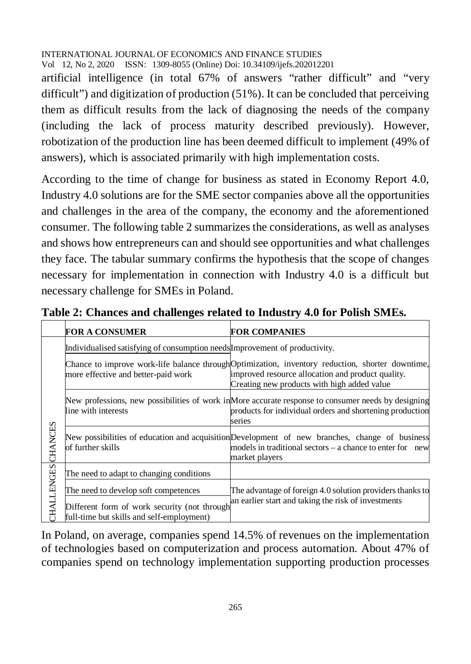artificial intelligence (in total 67% of answers "rather difficult" and "very difficult") and digitization of production (51%). It can be concluded that perceiving them as difficult results from the lack of diagnosing the needs of the company (including the lack of process maturity described previously). However, robotization of the production line has been deemed difficult to implement (49% of answers), which is associated primarily with high implementation costs.

According to the time of change for business as stated in Economy Report 4.0, Industry 4.0 solutions are for the SME sector companies above all the opportunities and challenges in the area of the company, the economy and the aforementioned consumer. The following table 2 summarizes the considerations, as well as analyses and shows how entrepreneurs can and should see opportunities and what challenges they face. The tabular summary confirms the hypothesis that the scope of changes necessary for implementation in connection with Industry 4.0 is a difficult but necessary challenge for SMEs in Poland.

|                  | <b>FOR A CONSUMER</b>                                                                                                             | <b>FOR COMPANIES</b>                                                                                                                                                                                 |
|------------------|-----------------------------------------------------------------------------------------------------------------------------------|------------------------------------------------------------------------------------------------------------------------------------------------------------------------------------------------------|
| CHANCES          | Individualised satisfying of consumption needs Improvement of productivity.                                                       |                                                                                                                                                                                                      |
|                  | more effective and better-paid work                                                                                               | Chance to improve work-life balance through Optimization, inventory reduction, shorter downtime,<br>improved resource allocation and product quality.<br>Creating new products with high added value |
|                  | line with interests                                                                                                               | New professions, new possibilities of work in More accurate response to consumer needs by designing<br>products for individual orders and shortening production<br>series                            |
|                  | of further skills                                                                                                                 | New possibilities of education and acquisition Development of new branches, change of business<br>models in traditional sectors – a chance to enter for new<br>market players                        |
| <b>HALLENGES</b> | The need to adapt to changing conditions                                                                                          |                                                                                                                                                                                                      |
|                  | The need to develop soft competences<br>Different form of work security (not through<br>full-time but skills and self-employment) | The advantage of foreign 4.0 solution providers thanks to<br>an earlier start and taking the risk of investments                                                                                     |

**Table 2: Chances and challenges related to Industry 4.0 for Polish SMEs.**

In Poland, on average, companies spend 14.5% of revenues on the implementation of technologies based on computerization and process automation. About 47% of companies spend on technology implementation supporting production processes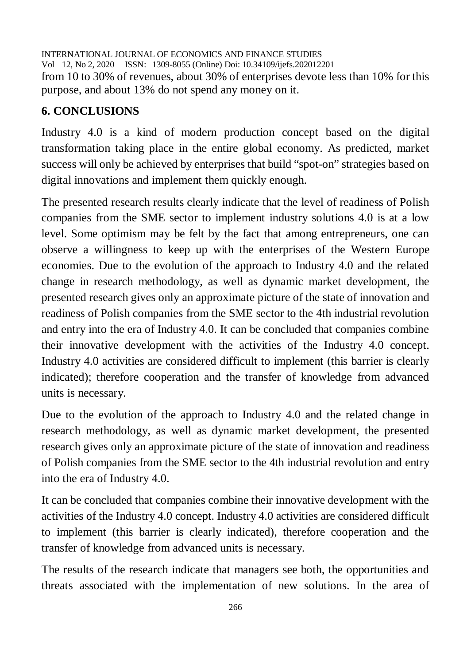INTERNATIONAL JOURNAL OF ECONOMICS AND FINANCE STUDIES Vol 12, No 2, 2020 ISSN: 1309-8055 (Online) Doi: 10.34109/ijefs.202012201 from 10 to 30% of revenues, about 30% of enterprises devote less than 10% for this purpose, and about 13% do not spend any money on it.

# **6. CONCLUSIONS**

Industry 4.0 is a kind of modern production concept based on the digital transformation taking place in the entire global economy. As predicted, market success will only be achieved by enterprises that build "spot-on" strategies based on digital innovations and implement them quickly enough.

The presented research results clearly indicate that the level of readiness of Polish companies from the SME sector to implement industry solutions 4.0 is at a low level. Some optimism may be felt by the fact that among entrepreneurs, one can observe a willingness to keep up with the enterprises of the Western Europe economies. Due to the evolution of the approach to Industry 4.0 and the related change in research methodology, as well as dynamic market development, the presented research gives only an approximate picture of the state of innovation and readiness of Polish companies from the SME sector to the 4th industrial revolution and entry into the era of Industry 4.0. It can be concluded that companies combine their innovative development with the activities of the Industry 4.0 concept. Industry 4.0 activities are considered difficult to implement (this barrier is clearly indicated); therefore cooperation and the transfer of knowledge from advanced units is necessary.

Due to the evolution of the approach to Industry 4.0 and the related change in research methodology, as well as dynamic market development, the presented research gives only an approximate picture of the state of innovation and readiness of Polish companies from the SME sector to the 4th industrial revolution and entry into the era of Industry 4.0.

It can be concluded that companies combine their innovative development with the activities of the Industry 4.0 concept. Industry 4.0 activities are considered difficult to implement (this barrier is clearly indicated), therefore cooperation and the transfer of knowledge from advanced units is necessary.

The results of the research indicate that managers see both, the opportunities and threats associated with the implementation of new solutions. In the area of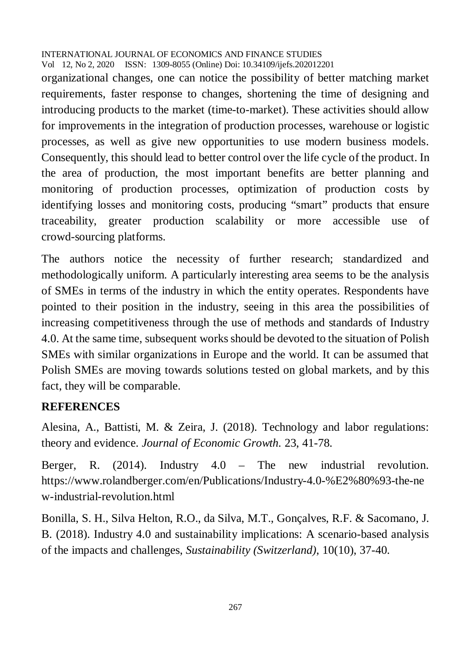organizational changes, one can notice the possibility of better matching market requirements, faster response to changes, shortening the time of designing and introducing products to the market (time-to-market). These activities should allow for improvements in the integration of production processes, warehouse or logistic processes, as well as give new opportunities to use modern business models. Consequently, this should lead to better control over the life cycle of the product. In the area of production, the most important benefits are better planning and monitoring of production processes, optimization of production costs by identifying losses and monitoring costs, producing "smart" products that ensure traceability, greater production scalability or more accessible use of crowd-sourcing platforms.

The authors notice the necessity of further research; standardized and methodologically uniform. A particularly interesting area seems to be the analysis of SMEs in terms of the industry in which the entity operates. Respondents have pointed to their position in the industry, seeing in this area the possibilities of increasing competitiveness through the use of methods and standards of Industry 4.0. At the same time, subsequent works should be devoted to the situation of Polish SMEs with similar organizations in Europe and the world. It can be assumed that Polish SMEs are moving towards solutions tested on global markets, and by this fact, they will be comparable.

## **REFERENCES**

Alesina, A., Battisti, M. & Zeira, J. (2018). Technology and labor regulations: theory and evidence. *Journal of Economic Growth.* 23, 41-78.

Berger, R.  $(2014)$ . Industry  $4.0$  – The new industrial revolution. <https://www.rolandberger.com/en/Publications/Industry-4.0-%E2%80%93-the-ne> w-industrial-revolution.html

Bonilla, S. H., Silva Helton, R.O., da Silva, M.T., Gonçalves, R.F. & Sacomano, J. B. (2018). Industry 4.0 and sustainability implications: A scenario-based analysis of the impacts and challenges, *Sustainability (Switzerland)*, 10(10), 37-40.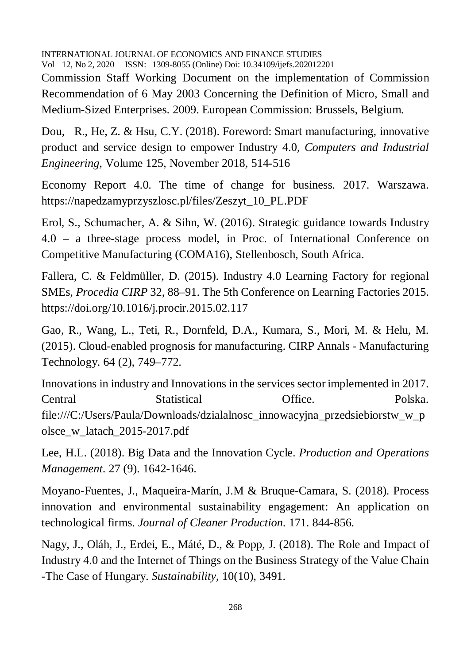Commission Staff Working Document on the implementation of Commission Recommendation of 6 May 2003 Concerning the Definition of Micro, Small and Medium-Sized Enterprises. 2009. European Commission: Brussels, Belgium.

Dou, R., He, Z. & Hsu, C.Y. (2018). Foreword: Smart manufacturing, innovative product and service design to empower Industry 4.0, *Computers and Industrial Engineering*, Volume 125, November 2018, 514-516

Economy Report 4.0. The time of change for business. 2017. Warszawa. [https://napedzamyprzyszlosc.pl/files/Zeszyt\\_10\\_PL.PDF](https://napedzamyprzyszlosc.pl/files/Zeszyt_10_PL.PDF)

Erol, S., Schumacher, A. & Sihn, W. (2016). Strategic guidance towards Industry 4.0 – a three-stage process model, in Proc. of International Conference on Competitive Manufacturing (COMA16), Stellenbosch, South Africa.

Fallera, C. & Feldmüller, D. (2015). Industry 4.0 Learning Factory for regional SMEs, *Procedia CIRP* 32, 88–91. The 5th Conference on Learning Factories 2015. <https://doi.org/10.1016/j.procir.2015.02.117>

Gao, R., Wang, L., Teti, R., Dornfeld, D.A., Kumara, S., Mori, M. & Helu, M. (2015). Cloud-enabled prognosis for manufacturing. CIRP Annals - Manufacturing Technology. 64 (2), 749–772.

Innovations in industry and Innovations in the services sector implemented in 2017. Central Statistical Office. Polska. file:///C:/Users/Paula/Downloads/dzialalnosc\_innowacyjna\_przedsiebiorstw\_w\_p olsce\_w\_latach\_2015-2017.pdf

Lee, H.L. (2018). Big Data and the Innovation Cycle. *Production and Operations Management*. 27 (9). 1642-1646.

Moyano-Fuentes, J., Maqueira-Marín, J.M & Bruque-Camara, S. (2018). Process innovation and environmental sustainability engagement: An application on technological firms. *Journal of Cleaner Production*. 171. 844-856.

Nagy, J., Oláh, J., Erdei, E., Máté, D., & Popp, J. (2018). The Role and Impact of Industry 4.0 and the Internet of Things on the Business Strategy of the Value Chain -The Case of Hungary. *Sustainability*, 10(10), 3491.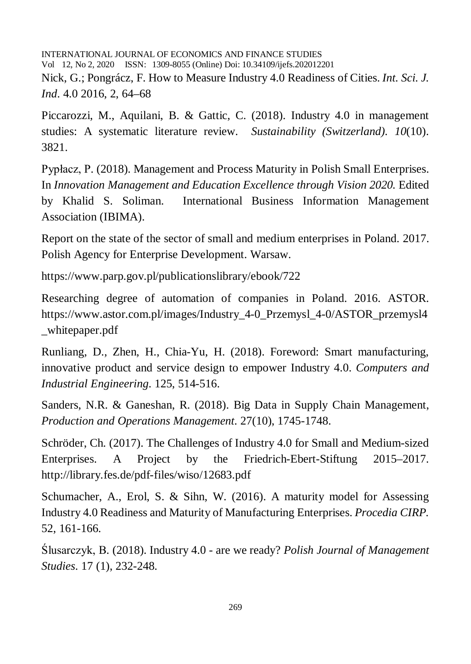INTERNATIONAL JOURNAL OF ECONOMICS AND FINANCE STUDIES Vol 12, No 2, 2020 ISSN: 1309-8055 (Online) Doi: 10.34109/ijefs.202012201 Nick, G.; Pongrácz, F. How to Measure Industry 4.0 Readiness of Cities. *Int. Sci. J. Ind*. 4.0 2016, 2, 64–68

Piccarozzi, M., Aquilani, B. & Gattic, C. (2018). Industry 4.0 in management studies: A systematic literature review. *Sustainability (Switzerland). 10*(10). 3821.

Pypłacz, P. (2018). Management and Process Maturity in Polish Small Enterprises. In *Innovation Management and Education Excellence through Vision 2020.* Edited by Khalid S. Soliman. International Business Information Management Association (IBIMA).

Report on the state of the sector of small and medium enterprises in Poland. 2017. Polish Agency for Enterprise Development. Warsaw.

<https://www.parp.gov.pl/publicationslibrary/ebook/722>

Researching degree of automation of companies in Poland. 2016. ASTOR. [https://www.astor.com.pl/images/Industry\\_4-0\\_Przemysl\\_4-0/ASTOR\\_przemysl4](https://www.astor.com.pl/images/Industry_4-0_Przemysl_4-0/ASTOR_przemysl4) \_whitepaper.pdf

Runliang, D., Zhen, H., Chia-Yu, H. (2018). Foreword: Smart manufacturing, innovative product and service design to empower Industry 4.0. *Computers and Industrial Engineering*. 125, 514-516.

Sanders, N.R. & Ganeshan, R. (2018). Big Data in Supply Chain Management, *Production and Operations Management*. 27(10), 1745-1748.

Schröder, Ch. (2017). The Challenges of Industry 4.0 for Small and Medium-sized Enterprises. A Project by the Friedrich-Ebert-Stiftung 2015–2017. <http://library.fes.de/pdf-files/wiso/12683.pdf>

Schumacher, A., Erol, S. & Sihn, W. (2016). A maturity model for Assessing Industry 4.0 Readiness and Maturity of Manufacturing Enterprises. *Procedia CIRP.*  52, 161-166.

Ślusarczyk, B. (2018). Industry 4.0 - are we ready? *Polish Journal of Management Studies*. 17 (1), 232-248.